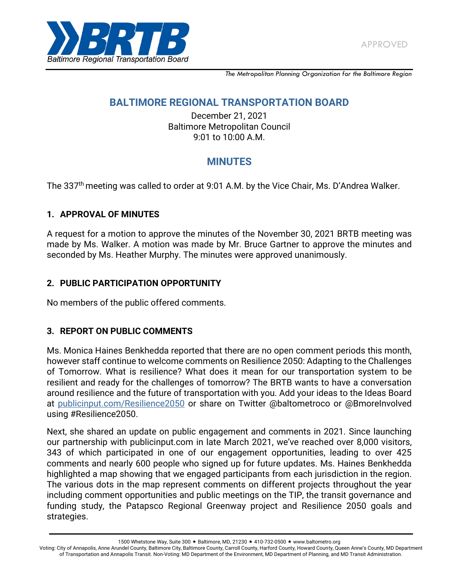

*The Metropolitan Planning Organization for the Baltimore Region*

# **BALTIMORE REGIONAL TRANSPORTATION BOARD**

December 21, 2021 Baltimore Metropolitan Council 9:01 to 10:00 A.M.

# **MINUTES**

The 337<sup>th</sup> meeting was called to order at 9:01 A.M. by the Vice Chair, Ms. D'Andrea Walker.

# **1. APPROVAL OF MINUTES**

A request for a motion to approve the minutes of the November 30, 2021 BRTB meeting was made by Ms. Walker. A motion was made by Mr. Bruce Gartner to approve the minutes and seconded by Ms. Heather Murphy. The minutes were approved unanimously.

### **2. PUBLIC PARTICIPATION OPPORTUNITY**

No members of the public offered comments.

#### **3. REPORT ON PUBLIC COMMENTS**

Ms. Monica Haines Benkhedda reported that there are no open comment periods this month, however staff continue to welcome comments on Resilience 2050: Adapting to the Challenges of Tomorrow. What is resilience? What does it mean for our transportation system to be resilient and ready for the challenges of tomorrow? The BRTB wants to have a conversation around resilience and the future of transportation with you. Add your ideas to the Ideas Board at [publicinput.com/Resilience2050](https://publicinput.com/resilience2050) or share on Twitter @baltometroco or @BmoreInvolved using #Resilience2050.

Next, she shared an update on public engagement and comments in 2021. Since launching our partnership with publicinput.com in late March 2021, we've reached over 8,000 visitors, 343 of which participated in one of our engagement opportunities, leading to over 425 comments and nearly 600 people who signed up for future updates. Ms. Haines Benkhedda highlighted a map showing that we engaged participants from each jurisdiction in the region. The various dots in the map represent comments on different projects throughout the year including comment opportunities and public meetings on the TIP, the transit governance and funding study, the Patapsco Regional Greenway project and Resilience 2050 goals and strategies.

Voting: City of Annapolis, Anne Arundel County, Baltimore City, Baltimore County, Carroll County, Harford County, Howard County, Queen Anne's County, MD Department of Transportation and Annapolis Transit. Non-Voting: MD Department of the Environment, MD Department of Planning, and MD Transit Administration.

<sup>1500</sup> Whetstone Way, Suite 300 ★ Baltimore, MD, 21230 ★ 410-732-0500 ★ www.baltometro.org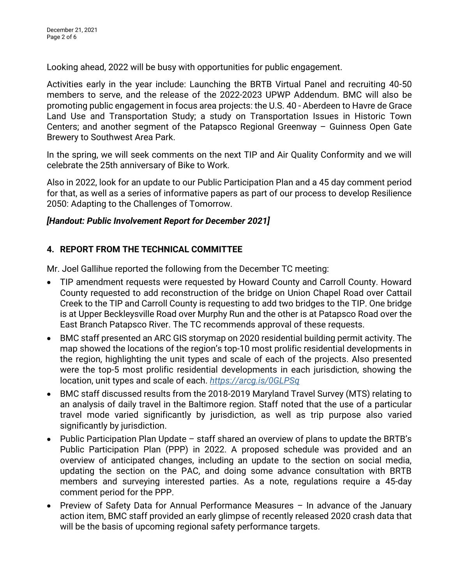Looking ahead, 2022 will be busy with opportunities for public engagement.

Activities early in the year include: Launching the BRTB Virtual Panel and recruiting 40-50 members to serve, and the release of the 2022-2023 UPWP Addendum. BMC will also be promoting public engagement in focus area projects: the U.S. 40 - Aberdeen to Havre de Grace Land Use and Transportation Study; a study on Transportation Issues in Historic Town Centers; and another segment of the Patapsco Regional Greenway – Guinness Open Gate Brewery to Southwest Area Park.

In the spring, we will seek comments on the next TIP and Air Quality Conformity and we will celebrate the 25th anniversary of Bike to Work.

Also in 2022, look for an update to our Public Participation Plan and a 45 day comment period for that, as well as a series of informative papers as part of our process to develop Resilience 2050: Adapting to the Challenges of Tomorrow.

#### *[Handout: Public Involvement Report for December 2021]*

### **4. REPORT FROM THE TECHNICAL COMMITTEE**

Mr. Joel Gallihue reported the following from the December TC meeting:

- TIP amendment requests were requested by Howard County and Carroll County. Howard County requested to add reconstruction of the bridge on Union Chapel Road over Cattail Creek to the TIP and Carroll County is requesting to add two bridges to the TIP. One bridge is at Upper Beckleysville Road over Murphy Run and the other is at Patapsco Road over the East Branch Patapsco River. The TC recommends approval of these requests.
- BMC staff presented an ARC GIS storymap on 2020 residential building permit activity. The map showed the locations of the region's top-10 most prolific residential developments in the region, highlighting the unit types and scale of each of the projects. Also presented were the top-5 most prolific residential developments in each jurisdiction, showing the location, unit types and scale of each. *<https://arcg.is/0GLPSq>*
- BMC staff discussed results from the 2018-2019 Maryland Travel Survey (MTS) relating to an analysis of daily travel in the Baltimore region. Staff noted that the use of a particular travel mode varied significantly by jurisdiction, as well as trip purpose also varied significantly by jurisdiction.
- Public Participation Plan Update staff shared an overview of plans to update the BRTB's Public Participation Plan (PPP) in 2022. A proposed schedule was provided and an overview of anticipated changes, including an update to the section on social media, updating the section on the PAC, and doing some advance consultation with BRTB members and surveying interested parties. As a note, regulations require a 45-day comment period for the PPP.
- Preview of Safety Data for Annual Performance Measures In advance of the January action item, BMC staff provided an early glimpse of recently released 2020 crash data that will be the basis of upcoming regional safety performance targets.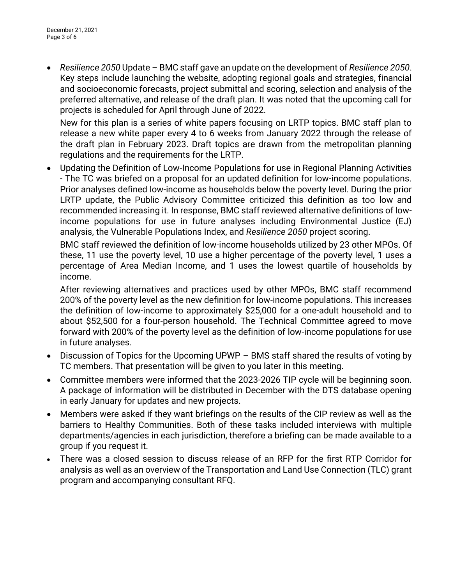*Resilience 2050* Update – BMC staff gave an update on the development of *Resilience 2050*. Key steps include launching the website, adopting regional goals and strategies, financial and socioeconomic forecasts, project submittal and scoring, selection and analysis of the preferred alternative, and release of the draft plan. It was noted that the upcoming call for projects is scheduled for April through June of 2022.

New for this plan is a series of white papers focusing on LRTP topics. BMC staff plan to release a new white paper every 4 to 6 weeks from January 2022 through the release of the draft plan in February 2023. Draft topics are drawn from the metropolitan planning regulations and the requirements for the LRTP.

 Updating the Definition of Low-Income Populations for use in Regional Planning Activities - The TC was briefed on a proposal for an updated definition for low-income populations. Prior analyses defined low-income as households below the poverty level. During the prior LRTP update, the Public Advisory Committee criticized this definition as too low and recommended increasing it. In response, BMC staff reviewed alternative definitions of lowincome populations for use in future analyses including Environmental Justice (EJ) analysis, the Vulnerable Populations Index, and *Resilience 2050* project scoring.

BMC staff reviewed the definition of low-income households utilized by 23 other MPOs. Of these, 11 use the poverty level, 10 use a higher percentage of the poverty level, 1 uses a percentage of Area Median Income, and 1 uses the lowest quartile of households by income.

After reviewing alternatives and practices used by other MPOs, BMC staff recommend 200% of the poverty level as the new definition for low-income populations. This increases the definition of low-income to approximately \$25,000 for a one-adult household and to about \$52,500 for a four-person household. The Technical Committee agreed to move forward with 200% of the poverty level as the definition of low-income populations for use in future analyses.

- Discussion of Topics for the Upcoming UPWP BMS staff shared the results of voting by TC members. That presentation will be given to you later in this meeting.
- Committee members were informed that the 2023-2026 TIP cycle will be beginning soon. A package of information will be distributed in December with the DTS database opening in early January for updates and new projects.
- Members were asked if they want briefings on the results of the CIP review as well as the barriers to Healthy Communities. Both of these tasks included interviews with multiple departments/agencies in each jurisdiction, therefore a briefing can be made available to a group if you request it.
- There was a closed session to discuss release of an RFP for the first RTP Corridor for analysis as well as an overview of the Transportation and Land Use Connection (TLC) grant program and accompanying consultant RFQ.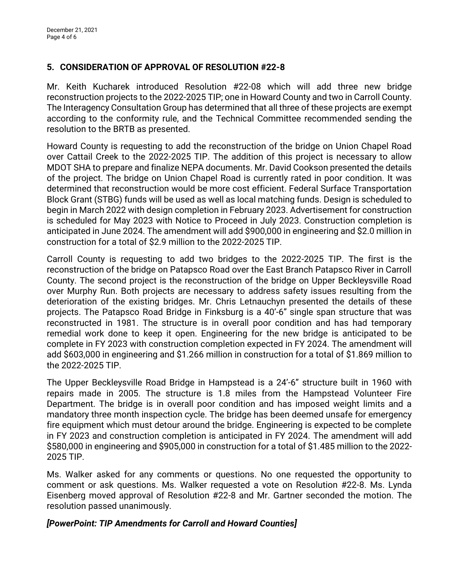#### **5. CONSIDERATION OF APPROVAL OF RESOLUTION #22-8**

Mr. Keith Kucharek introduced Resolution #22-08 which will add three new bridge reconstruction projects to the 2022-2025 TIP; one in Howard County and two in Carroll County. The Interagency Consultation Group has determined that all three of these projects are exempt according to the conformity rule, and the Technical Committee recommended sending the resolution to the BRTB as presented.

Howard County is requesting to add the reconstruction of the bridge on Union Chapel Road over Cattail Creek to the 2022-2025 TIP. The addition of this project is necessary to allow MDOT SHA to prepare and finalize NEPA documents. Mr. David Cookson presented the details of the project. The bridge on Union Chapel Road is currently rated in poor condition. It was determined that reconstruction would be more cost efficient. Federal Surface Transportation Block Grant (STBG) funds will be used as well as local matching funds. Design is scheduled to begin in March 2022 with design completion in February 2023. Advertisement for construction is scheduled for May 2023 with Notice to Proceed in July 2023. Construction completion is anticipated in June 2024. The amendment will add \$900,000 in engineering and \$2.0 million in construction for a total of \$2.9 million to the 2022-2025 TIP.

Carroll County is requesting to add two bridges to the 2022-2025 TIP. The first is the reconstruction of the bridge on Patapsco Road over the East Branch Patapsco River in Carroll County. The second project is the reconstruction of the bridge on Upper Beckleysville Road over Murphy Run. Both projects are necessary to address safety issues resulting from the deterioration of the existing bridges. Mr. Chris Letnauchyn presented the details of these projects. The Patapsco Road Bridge in Finksburg is a 40'-6" single span structure that was reconstructed in 1981. The structure is in overall poor condition and has had temporary remedial work done to keep it open. Engineering for the new bridge is anticipated to be complete in FY 2023 with construction completion expected in FY 2024. The amendment will add \$603,000 in engineering and \$1.266 million in construction for a total of \$1.869 million to the 2022-2025 TIP.

The Upper Beckleysville Road Bridge in Hampstead is a 24'-6" structure built in 1960 with repairs made in 2005. The structure is 1.8 miles from the Hampstead Volunteer Fire Department. The bridge is in overall poor condition and has imposed weight limits and a mandatory three month inspection cycle. The bridge has been deemed unsafe for emergency fire equipment which must detour around the bridge. Engineering is expected to be complete in FY 2023 and construction completion is anticipated in FY 2024. The amendment will add \$580,000 in engineering and \$905,000 in construction for a total of \$1.485 million to the 2022- 2025 TIP.

Ms. Walker asked for any comments or questions. No one requested the opportunity to comment or ask questions. Ms. Walker requested a vote on Resolution #22-8. Ms. Lynda Eisenberg moved approval of Resolution #22-8 and Mr. Gartner seconded the motion. The resolution passed unanimously.

#### *[PowerPoint: TIP Amendments for Carroll and Howard Counties]*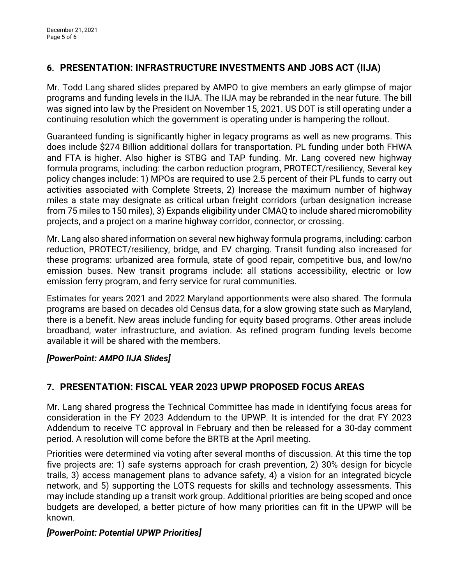# **6. PRESENTATION: INFRASTRUCTURE INVESTMENTS AND JOBS ACT (IIJA)**

Mr. Todd Lang shared slides prepared by AMPO to give members an early glimpse of major programs and funding levels in the IIJA. The IIJA may be rebranded in the near future. The bill was signed into law by the President on November 15, 2021. US DOT is still operating under a continuing resolution which the government is operating under is hampering the rollout.

Guaranteed funding is significantly higher in legacy programs as well as new programs. This does include \$274 Billion additional dollars for transportation. PL funding under both FHWA and FTA is higher. Also higher is STBG and TAP funding. Mr. Lang covered new highway formula programs, including: the carbon reduction program, PROTECT/resiliency, Several key policy changes include: 1) MPOs are required to use 2.5 percent of their PL funds to carry out activities associated with Complete Streets, 2) Increase the maximum number of highway miles a state may designate as critical urban freight corridors (urban designation increase from 75 miles to 150 miles), 3) Expands eligibility under CMAQ to include shared micromobility projects, and a project on a marine highway corridor, connector, or crossing.

Mr. Lang also shared information on several new highway formula programs, including: carbon reduction, PROTECT/resiliency, bridge, and EV charging. Transit funding also increased for these programs: urbanized area formula, state of good repair, competitive bus, and low/no emission buses. New transit programs include: all stations accessibility, electric or low emission ferry program, and ferry service for rural communities.

Estimates for years 2021 and 2022 Maryland apportionments were also shared. The formula programs are based on decades old Census data, for a slow growing state such as Maryland, there is a benefit. New areas include funding for equity based programs. Other areas include broadband, water infrastructure, and aviation. As refined program funding levels become available it will be shared with the members.

# *[PowerPoint: AMPO IIJA Slides]*

# **7. PRESENTATION: FISCAL YEAR 2023 UPWP PROPOSED FOCUS AREAS**

Mr. Lang shared progress the Technical Committee has made in identifying focus areas for consideration in the FY 2023 Addendum to the UPWP. It is intended for the drat FY 2023 Addendum to receive TC approval in February and then be released for a 30-day comment period. A resolution will come before the BRTB at the April meeting.

Priorities were determined via voting after several months of discussion. At this time the top five projects are: 1) safe systems approach for crash prevention, 2) 30% design for bicycle trails, 3) access management plans to advance safety, 4) a vision for an integrated bicycle network, and 5) supporting the LOTS requests for skills and technology assessments. This may include standing up a transit work group. Additional priorities are being scoped and once budgets are developed, a better picture of how many priorities can fit in the UPWP will be known.

# *[PowerPoint: Potential UPWP Priorities]*